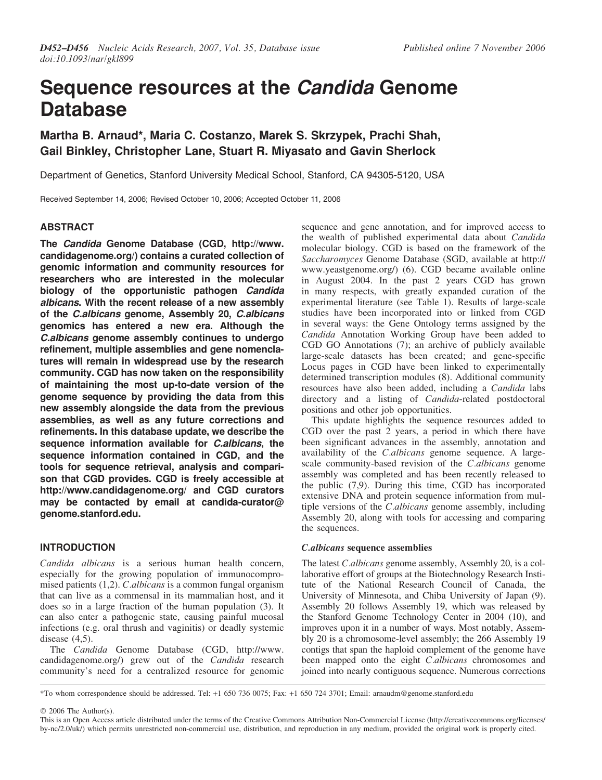# Sequence resources at the Candida Genome Database

Martha B. Arnaud\*, Maria C. Costanzo, Marek S. Skrzypek, Prachi Shah, Gail Binkley, Christopher Lane, Stuart R. Miyasato and Gavin Sherlock

Department of Genetics, Stanford University Medical School, Stanford, CA 94305-5120, USA

Received September 14, 2006; Revised October 10, 2006; Accepted October 11, 2006

## **ABSTRACT**

The Candida Genome Database (CGD, [http://www.](http://www) candidagenome.org/) contains a curated collection of genomic information and community resources for researchers who are interested in the molecular biology of the opportunistic pathogen Candida albicans. With the recent release of a new assembly of the *C.albicans* genome, Assembly 20, *C.albicans* genomics has entered a new era. Although the C.albicans genome assembly continues to undergo refinement, multiple assemblies and gene nomenclatures will remain in widespread use by the research community. CGD has now taken on the responsibility of maintaining the most up-to-date version of the genome sequence by providing the data from this new assembly alongside the data from the previous assemblies, as well as any future corrections and refinements. In this database update, we describe the sequence information available for *C.albicans*, the sequence information contained in CGD, and the tools for sequence retrieval, analysis and comparison that CGD provides. CGD is freely accessible at <http://www.candidagenome.org/> and CGD curators may be contacted by email at candida-curator@ genome.stanford.edu.

## INTRODUCTION

Candida albicans is a serious human health concern, especially for the growing population of immunocompromised patients (1,2). C.albicans is a common fungal organism that can live as a commensal in its mammalian host, and it does so in a large fraction of the human population (3). It can also enter a pathogenic state, causing painful mucosal infections (e.g. oral thrush and vaginitis) or deadly systemic disease (4,5).

The Candida Genome Database (CGD, [http://www.](http://www) candidagenome.org/) grew out of the Candida research community's need for a centralized resource for genomic sequence and gene annotation, and for improved access to the wealth of published experimental data about Candida molecular biology. CGD is based on the framework of the Saccharomyces Genome Database (SGD, available at<http://> www.yeastgenome.org/) (6). CGD became available online in August 2004. In the past 2 years CGD has grown in many respects, with greatly expanded curation of the experimental literature (see Table 1). Results of large-scale studies have been incorporated into or linked from CGD in several ways: the Gene Ontology terms assigned by the Candida Annotation Working Group have been added to CGD GO Annotations (7); an archive of publicly available large-scale datasets has been created; and gene-specific Locus pages in CGD have been linked to experimentally determined transcription modules (8). Additional community resources have also been added, including a Candida labs directory and a listing of Candida-related postdoctoral positions and other job opportunities.

This update highlights the sequence resources added to CGD over the past 2 years, a period in which there have been significant advances in the assembly, annotation and availability of the C.albicans genome sequence. A largescale community-based revision of the C.albicans genome assembly was completed and has been recently released to the public (7,9). During this time, CGD has incorporated extensive DNA and protein sequence information from multiple versions of the C.albicans genome assembly, including Assembly 20, along with tools for accessing and comparing the sequences.

#### C.albicans sequence assemblies

The latest *C.albicans* genome assembly, Assembly 20, is a collaborative effort of groups at the Biotechnology Research Institute of the National Research Council of Canada, the University of Minnesota, and Chiba University of Japan (9). Assembly 20 follows Assembly 19, which was released by the Stanford Genome Technology Center in 2004 (10), and improves upon it in a number of ways. Most notably, Assembly 20 is a chromosome-level assembly; the 266 Assembly 19 contigs that span the haploid complement of the genome have been mapped onto the eight *C.albicans* chromosomes and joined into nearly contiguous sequence. Numerous corrections

\*To whom correspondence should be addressed. Tel: +1 650 736 0075; Fax: +1 650 724 3701; Email: arnaudm@genome.stanford.edu

2006 The Author(s).

This is an Open Access article distributed under the terms of the Creative Commons Attribution Non-Commercial License [\(http://creativecommons.org/licenses/](http://creativecommons.org/licenses/) by-nc/2.0/uk/) which permits unrestricted non-commercial use, distribution, and reproduction in any medium, provided the original work is properly cited.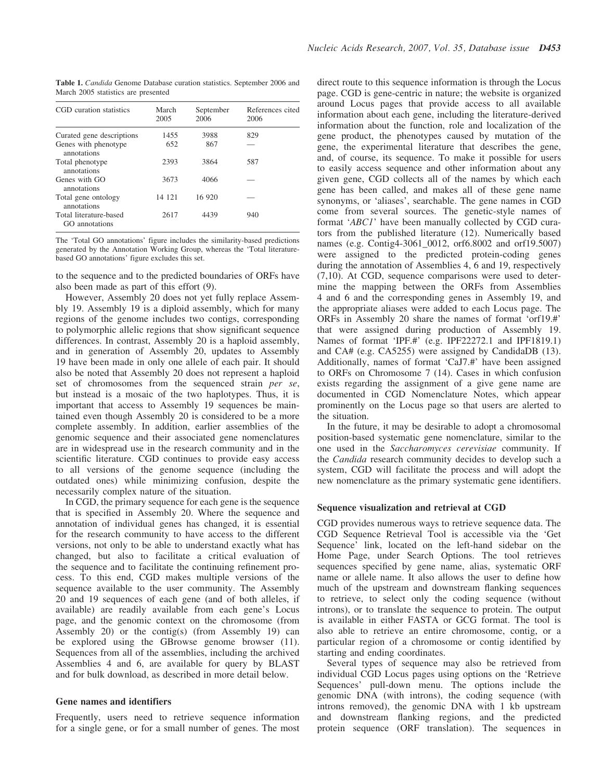Table 1. Candida Genome Database curation statistics. September 2006 and March 2005 statistics are presented

| CGD curation statistics                  | March<br>2005 | September<br>2006 | References cited<br>2006 |
|------------------------------------------|---------------|-------------------|--------------------------|
| Curated gene descriptions                | 1455          | 3988              | 829                      |
| Genes with phenotype<br>annotations      | 652           | 867               |                          |
| Total phenotype<br>annotations           | 2393          | 3864              | 587                      |
| Genes with GO<br>annotations             | 3673          | 4066              |                          |
| Total gene ontology<br>annotations       | 14 121        | 16 920            |                          |
| Total literature-based<br>GO annotations | 2617          | 4439              | 940                      |

The 'Total GO annotations' figure includes the similarity-based predictions generated by the Annotation Working Group, whereas the 'Total literaturebased GO annotations' figure excludes this set.

to the sequence and to the predicted boundaries of ORFs have also been made as part of this effort (9).

However, Assembly 20 does not yet fully replace Assembly 19. Assembly 19 is a diploid assembly, which for many regions of the genome includes two contigs, corresponding to polymorphic allelic regions that show significant sequence differences. In contrast, Assembly 20 is a haploid assembly, and in generation of Assembly 20, updates to Assembly 19 have been made in only one allele of each pair. It should also be noted that Assembly 20 does not represent a haploid set of chromosomes from the sequenced strain per se, but instead is a mosaic of the two haplotypes. Thus, it is important that access to Assembly 19 sequences be maintained even though Assembly 20 is considered to be a more complete assembly. In addition, earlier assemblies of the genomic sequence and their associated gene nomenclatures are in widespread use in the research community and in the scientific literature. CGD continues to provide easy access to all versions of the genome sequence (including the outdated ones) while minimizing confusion, despite the necessarily complex nature of the situation.

In CGD, the primary sequence for each gene is the sequence that is specified in Assembly 20. Where the sequence and annotation of individual genes has changed, it is essential for the research community to have access to the different versions, not only to be able to understand exactly what has changed, but also to facilitate a critical evaluation of the sequence and to facilitate the continuing refinement process. To this end, CGD makes multiple versions of the sequence available to the user community. The Assembly 20 and 19 sequences of each gene (and of both alleles, if available) are readily available from each gene's Locus page, and the genomic context on the chromosome (from Assembly 20) or the contig(s) (from Assembly 19) can be explored using the GBrowse genome browser (11). Sequences from all of the assemblies, including the archived Assemblies 4 and 6, are available for query by BLAST and for bulk download, as described in more detail below.

#### Gene names and identifiers

Frequently, users need to retrieve sequence information for a single gene, or for a small number of genes. The most direct route to this sequence information is through the Locus page. CGD is gene-centric in nature; the website is organized around Locus pages that provide access to all available information about each gene, including the literature-derived information about the function, role and localization of the gene product, the phenotypes caused by mutation of the gene, the experimental literature that describes the gene, and, of course, its sequence. To make it possible for users to easily access sequence and other information about any given gene, CGD collects all of the names by which each gene has been called, and makes all of these gene name synonyms, or 'aliases', searchable. The gene names in CGD come from several sources. The genetic-style names of format 'ABC1' have been manually collected by CGD curators from the published literature (12). Numerically based names (e.g. Contig4-3061\_0012, orf6.8002 and orf19.5007) were assigned to the predicted protein-coding genes during the annotation of Assemblies 4, 6 and 19, respectively (7,10). At CGD, sequence comparisons were used to determine the mapping between the ORFs from Assemblies 4 and 6 and the corresponding genes in Assembly 19, and the appropriate aliases were added to each Locus page. The ORFs in Assembly 20 share the names of format 'orf19.#' that were assigned during production of Assembly 19. Names of format 'IPF.#' (e.g. IPF22272.1 and IPF1819.1) and CA# (e.g. CA5255) were assigned by CandidaDB (13). Additionally, names of format 'CaJ7.#' have been assigned to ORFs on Chromosome 7 (14). Cases in which confusion exists regarding the assignment of a give gene name are documented in CGD Nomenclature Notes, which appear prominently on the Locus page so that users are alerted to the situation.

In the future, it may be desirable to adopt a chromosomal position-based systematic gene nomenclature, similar to the one used in the Saccharomyces cerevisiae community. If the Candida research community decides to develop such a system, CGD will facilitate the process and will adopt the new nomenclature as the primary systematic gene identifiers.

#### Sequence visualization and retrieval at CGD

CGD provides numerous ways to retrieve sequence data. The CGD Sequence Retrieval Tool is accessible via the 'Get Sequence' link, located on the left-hand sidebar on the Home Page, under Search Options. The tool retrieves sequences specified by gene name, alias, systematic ORF name or allele name. It also allows the user to define how much of the upstream and downstream flanking sequences to retrieve, to select only the coding sequence (without introns), or to translate the sequence to protein. The output is available in either FASTA or GCG format. The tool is also able to retrieve an entire chromosome, contig, or a particular region of a chromosome or contig identified by starting and ending coordinates.

Several types of sequence may also be retrieved from individual CGD Locus pages using options on the 'Retrieve Sequences' pull-down menu. The options include the genomic DNA (with introns), the coding sequence (with introns removed), the genomic DNA with 1 kb upstream and downstream flanking regions, and the predicted protein sequence (ORF translation). The sequences in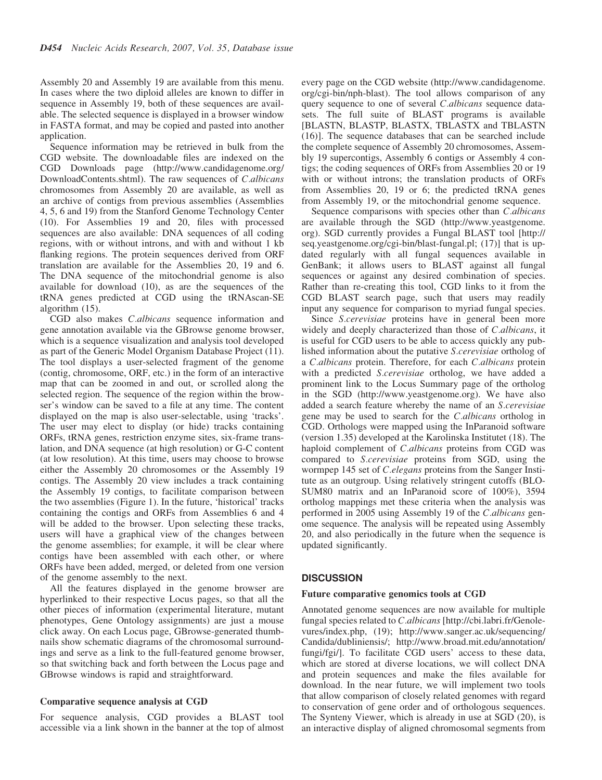Assembly 20 and Assembly 19 are available from this menu. In cases where the two diploid alleles are known to differ in sequence in Assembly 19, both of these sequences are available. The selected sequence is displayed in a browser window in FASTA format, and may be copied and pasted into another application.

Sequence information may be retrieved in bulk from the CGD website. The downloadable files are indexed on the CGD Downloads page [\(http://www.candidagenome.org/](http://www.candidagenome.org/) DownloadContents.shtml). The raw sequences of C.albicans chromosomes from Assembly 20 are available, as well as an archive of contigs from previous assemblies (Assemblies 4, 5, 6 and 19) from the Stanford Genome Technology Center (10). For Assemblies 19 and 20, files with processed sequences are also available: DNA sequences of all coding regions, with or without introns, and with and without 1 kb flanking regions. The protein sequences derived from ORF translation are available for the Assemblies 20, 19 and 6. The DNA sequence of the mitochondrial genome is also available for download (10), as are the sequences of the tRNA genes predicted at CGD using the tRNAscan-SE algorithm (15).

CGD also makes C.albicans sequence information and gene annotation available via the GBrowse genome browser, which is a sequence visualization and analysis tool developed as part of the Generic Model Organism Database Project  $(11)$ . The tool displays a user-selected fragment of the genome (contig, chromosome, ORF, etc.) in the form of an interactive map that can be zoomed in and out, or scrolled along the selected region. The sequence of the region within the browser's window can be saved to a file at any time. The content displayed on the map is also user-selectable, using 'tracks'. The user may elect to display (or hide) tracks containing ORFs, tRNA genes, restriction enzyme sites, six-frame translation, and DNA sequence (at high resolution) or G-C content (at low resolution). At this time, users may choose to browse either the Assembly 20 chromosomes or the Assembly 19 contigs. The Assembly 20 view includes a track containing the Assembly 19 contigs, to facilitate comparison between the two assemblies (Figure 1). In the future, 'historical' tracks containing the contigs and ORFs from Assemblies 6 and 4 will be added to the browser. Upon selecting these tracks, users will have a graphical view of the changes between the genome assemblies; for example, it will be clear where contigs have been assembled with each other, or where ORFs have been added, merged, or deleted from one version of the genome assembly to the next.

All the features displayed in the genome browser are hyperlinked to their respective Locus pages, so that all the other pieces of information (experimental literature, mutant phenotypes, Gene Ontology assignments) are just a mouse click away. On each Locus page, GBrowse-generated thumbnails show schematic diagrams of the chromosomal surroundings and serve as a link to the full-featured genome browser, so that switching back and forth between the Locus page and GBrowse windows is rapid and straightforward.

#### Comparative sequence analysis at CGD

For sequence analysis, CGD provides a BLAST tool accessible via a link shown in the banner at the top of almost every page on the CGD website [\(http://www.candidagenome.](http://www.candidagenome) org/cgi-bin/nph-blast). The tool allows comparison of any query sequence to one of several C.albicans sequence datasets. The full suite of BLAST programs is available [BLASTN, BLASTP, BLASTX, TBLASTX and TBLASTN (16)]. The sequence databases that can be searched include the complete sequence of Assembly 20 chromosomes, Assembly 19 supercontigs, Assembly 6 contigs or Assembly 4 contigs; the coding sequences of ORFs from Assemblies 20 or 19 with or without introns; the translation products of ORFs from Assemblies 20, 19 or 6; the predicted tRNA genes from Assembly 19, or the mitochondrial genome sequence.

Sequence comparisons with species other than *C.albicans* are available through the SGD [\(http://www.yeastgenome.](http://www.yeastgenome) org). SGD currently provides a Fungal BLAST tool [<http://> seq.yeastgenome.org/cgi-bin/blast-fungal.pl; (17)] that is updated regularly with all fungal sequences available in GenBank; it allows users to BLAST against all fungal sequences or against any desired combination of species. Rather than re-creating this tool, CGD links to it from the CGD BLAST search page, such that users may readily input any sequence for comparison to myriad fungal species.

Since S.cerevisiae proteins have in general been more widely and deeply characterized than those of *C.albicans*, it is useful for CGD users to be able to access quickly any published information about the putative S.cerevisiae ortholog of a C.albicans protein. Therefore, for each C.albicans protein with a predicted S.cerevisiae ortholog, we have added a prominent link to the Locus Summary page of the ortholog in the SGD (<http://www.yeastgenome.org>). We have also added a search feature whereby the name of an S.cerevisiae gene may be used to search for the C.albicans ortholog in CGD. Orthologs were mapped using the InParanoid software (version 1.35) developed at the Karolinska Institutet (18). The haploid complement of C.albicans proteins from CGD was compared to S.cerevisiae proteins from SGD, using the wormpep 145 set of C.elegans proteins from the Sanger Institute as an outgroup. Using relatively stringent cutoffs (BLO-SUM80 matrix and an InParanoid score of 100%), 3594 ortholog mappings met these criteria when the analysis was performed in 2005 using Assembly 19 of the C.albicans genome sequence. The analysis will be repeated using Assembly 20, and also periodically in the future when the sequence is updated significantly.

#### **DISCUSSION**

#### Future comparative genomics tools at CGD

Annotated genome sequences are now available for multiple fungal species related to C.albicans [http://cbi.labri.fr/Genole[vures/index.php, \(19\); http://www.sanger.ac.uk/sequencing/](http://cbi.labri.fr/Genolevures/index.php) Candida/dubliniensis/;<http://www.broad.mit.edu/annotation/> fungi/fgi/]. To facilitate CGD users' access to these data, which are stored at diverse locations, we will collect DNA and protein sequences and make the files available for download. In the near future, we will implement two tools that allow comparison of closely related genomes with regard to conservation of gene order and of orthologous sequences. The Synteny Viewer, which is already in use at SGD (20), is an interactive display of aligned chromosomal segments from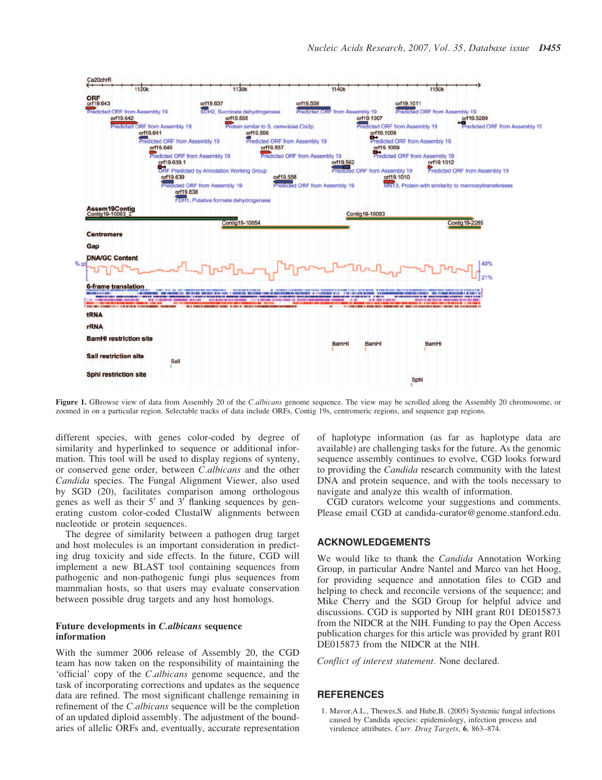

Figure 1. GBrowse view of data from Assembly 20 of the C.albicans genome sequence. The view may be scrolled along the Assembly 20 chromosome, or zoomed in on a particular region. Selectable tracks of data include ORFs, Contig 19s, centromeric regions, and sequence gap regions.

different species, with genes color-coded by degree of similarity and hyperlinked to sequence or additional information. This tool will be used to display regions of synteny, or conserved gene order, between C.albicans and the other Candida species. The Fungal Alignment Viewer, also used by SGD (20), facilitates comparison among orthologous genes as well as their  $5'$  and  $3'$  flanking sequences by generating custom color-coded ClustalW alignments between nucleotide or protein sequences.

The degree of similarity between a pathogen drug target and host molecules is an important consideration in predicting drug toxicity and side effects. In the future, CGD will implement a new BLAST tool containing sequences from pathogenic and non-pathogenic fungi plus sequences from mammalian hosts, so that users may evaluate conservation between possible drug targets and any host homologs.

#### Future developments in C.albicans sequence information

With the summer 2006 release of Assembly 20, the CGD team has now taken on the responsibility of maintaining the 'official' copy of the C.albicans genome sequence, and the task of incorporating corrections and updates as the sequence data are refined. The most significant challenge remaining in refinement of the C.albicans sequence will be the completion of an updated diploid assembly. The adjustment of the boundaries of allelic ORFs and, eventually, accurate representation of haplotype information (as far as haplotype data are available) are challenging tasks for the future. As the genomic sequence assembly continues to evolve, CGD looks forward to providing the Candida research community with the latest DNA and protein sequence, and with the tools necessary to navigate and analyze this wealth of information.

CGD curators welcome your suggestions and comments. Please email CGD at candida-curator@genome.stanford.edu.

## ACKNOWLEDGEMENTS

We would like to thank the *Candida* Annotation Working Group, in particular Andre Nantel and Marco van het Hoog, for providing sequence and annotation files to CGD and helping to check and reconcile versions of the sequence; and Mike Cherry and the SGD Group for helpful advice and discussions. CGD is supported by NIH grant R01 DE015873 from the NIDCR at the NIH. Funding to pay the Open Access publication charges for this article was provided by grant R01 DE015873 from the NIDCR at the NIH.

Conflict of interest statement. None declared.

### **REFERENCES**

1. Mavor,A.L., Thewes,S. and Hube,B. (2005) Systemic fungal infections caused by Candida species: epidemiology, infection process and virulence attributes. Curr. Drug Targets, 6, 863–874.